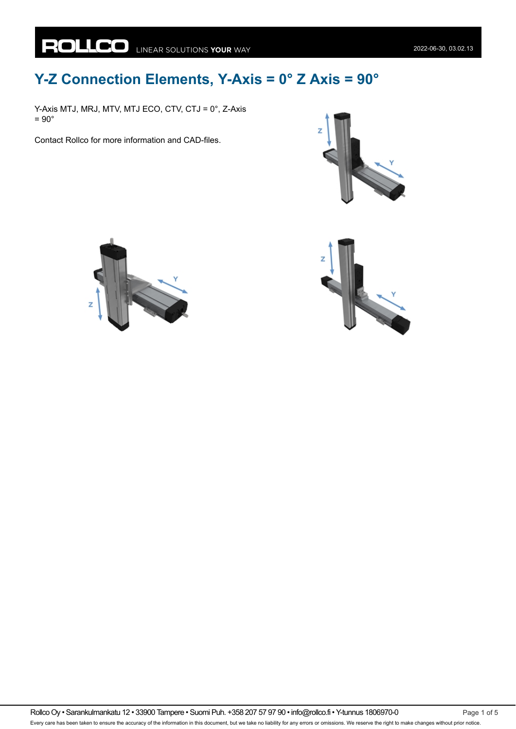## **Y-Z Connection Elements, Y-Axis = 0° Z Axis = 90°**

Y-Axis MTJ, MRJ, MTV, MTJ ECO, CTV, CTJ = 0°, Z-Axis  $= 90^\circ$ 

Contact Rollco for more information and CAD-files.





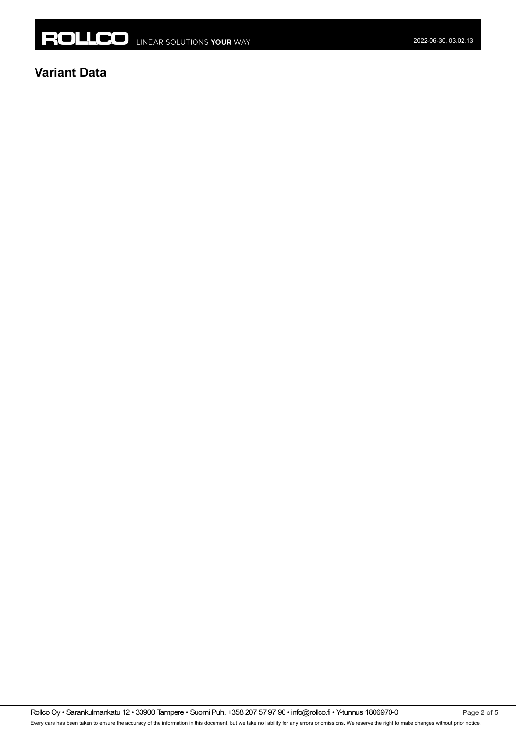

## **Variant Data**

Rollco Oy • Sarankulmankatu 12 • 33900 Tampere • Suomi Puh. +358 207 57 97 90 • info@rollco.fi • Y-tunnus 1806970-0 Page 2 of 5 Every care has been taken to ensure the accuracy of the information in this document, but we take no liability for any errors or omissions. We reserve the right to make changes without prior notice.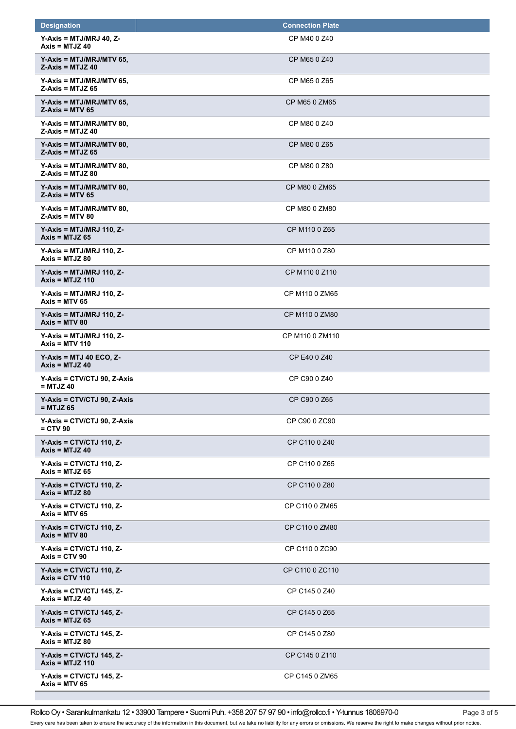| <b>Designation</b>                                  | <b>Connection Plate</b> |
|-----------------------------------------------------|-------------------------|
| $Y-Axis = MTJ/MRJ 40, Z-$<br>Axis = $MTJZ$ 40       | CP M40 0 Z40            |
| $Y-Axis = MTJ/MRJ/MTV 65,$<br>$Z-Axis = MTJZ 40$    | CP M65 0 Z40            |
| $Y-Axis = MTJ/MRJ/MTV 65$ ,<br>$Z-Axis = MTJZ 65$   | CP M65 0 Z65            |
| $Y-Axis = MTJ/MRJ/MTV 65,$<br>$Z-Axis = MTV 65$     | CP M65 0 ZM65           |
| $Y-Axis = MTJ/MRJ/MTV 80,$<br>$Z-Axis = MTJZ 40$    | CP M80 0 Z40            |
| $Y-Axis = MTJ/MRJ/MTV 80,$<br>$Z-Axis = MTJZ 65$    | CP M80 0 Z65            |
| $Y-Axis = MTJ/MRJ/MTV 80,$<br>$Z-Axis = MTJZ 80$    | CP M80 0 Z80            |
| $Y-Axis = MTJ/MRJ/MTV 80,$<br>$Z-Axis = MTV 65$     | CP M80 0 ZM65           |
| $Y-Axis = MTJ/MRJ/MTV 80,$<br>$Z-Axis = MTV 80$     | CP M80 0 ZM80           |
| $Y-Axis = MTJ/MRJ$ 110, Z-<br>$Axis = MTJZ 65$      | CP M110 0 Z65           |
| $Y-Axis = MTJ/MRJ$ 110, Z-<br>Axis = $MTJZ$ 80      | CP M110 0 Z80           |
| $Y-Axis = MTJ/MRJ$ 110, Z-<br>Axis = $MTJZ$ 110     | CP M110 0 Z110          |
| $Y-Axis = MTJ/MRJ$ 110, Z-<br>Axis = $MTV$ 65       | CP M110 0 ZM65          |
| $Y-Axis = MTJ/MRJ$ 110, Z-<br>$Axis = MTV 80$       | CP M110 0 ZM80          |
| $Y-Axis = MTJ/MRJ$ 110, Z-<br>Axis = $MTV$ 110      | CP M110 0 ZM110         |
| $Y-Axis = MTJ 40 ECO, Z-$<br>$Axis = MTJZ 40$       | CP E40 0 Z40            |
| $Y-Axis = CTV/CTJ$ 90, Z-Axis<br>$=$ MTJZ 40        | CP C90 0 Z40            |
| Y-Axis = CTV/CTJ 90, Z-Axis<br>= MTJZ 65            | CP C90 0 Z65            |
| $Y-Axis = CTV/CTJ 90, Z-Axis$<br>$=$ CTV 90         | CP C90 0 ZC90           |
| $Y-Axis = CTV/CTJ 110, Z-$<br>Axis = $MTJZ$ 40      | CP C110 0 Z40           |
| $Y-Axis = CTV/CTJ$ 110, Z-<br>Axis = $MTJZ$ 65      | CP C110 0 Z65           |
| $Y-Axis = CTV/CTJ$ 110, Z-<br>$Axis = MTJZ 80$      | CP C110 0 Z80           |
| $Y-Axis = CTV/CTJ 110, Z-$<br>Axis = $MTV$ 65       | CP C110 0 ZM65          |
| $Y-Axis = CTV/CTJ 110, Z-$<br>$Axis = MTV 80$       | CP C110 0 ZM80          |
| $Y-Axis = CTV/CTJ 110, Z-$<br>Axis = $CTV$ 90       | CP C110 0 ZC90          |
| $Y-Axis = CTV/CTJ 110, Z-$<br><b>Axis = CTV 110</b> | CP C110 0 ZC110         |
| $Y-Axis = CTV/CTJ 145, Z-$<br>Axis = $MTJZ$ 40      | CP C145 0 Z40           |
| $Y-Axis = CTV/CTJ 145, Z-$<br>Axis = $MTJZ$ 65      | CP C145 0 Z65           |
| $Y-Axis = CTV/CTJ 145, Z-$<br>$Axis = MTJZ 80$      | CP C145 0 Z80           |
| $Y-Axis = CTV/CTJ 145, Z-$<br>$Axis = MTJZ 110$     | CP C145 0 Z110          |
| $Y-Axis = CTV/CTJ 145, Z-$<br>Axis = $MTV$ 65       | CP C145 0 ZM65          |

Rollco Oy • Sarankulmankatu 12 • 33900 Tampere • Suomi Puh. +358 207 57 97 90 • info@rollco.fi • Y-tunnus 1806970-0 Page 3 of 5

Every care has been taken to ensure the accuracy of the information in this document, but we take no liability for any errors or omissions. We reserve the right to make changes without prior notice.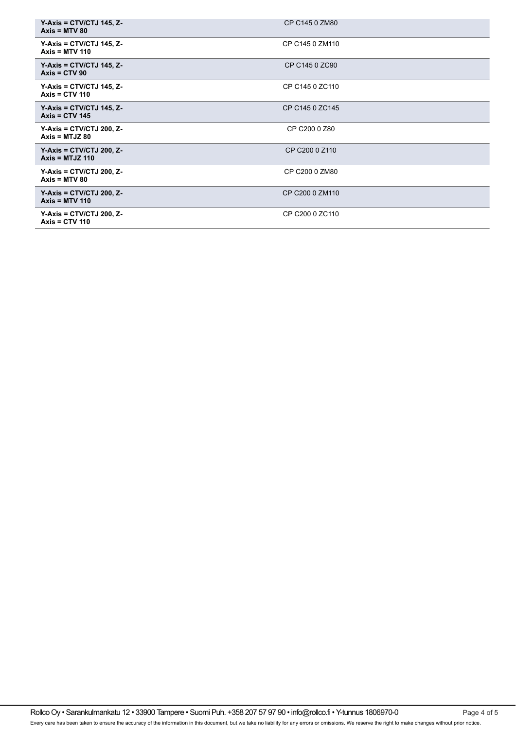| $Y-Axis = CTV/CTJ 145, Z-$<br>$Axis = MTV 80$   | CP C145 0 ZM80  |
|-------------------------------------------------|-----------------|
| $Y-Axis = CTV/CTJ 145, Z-$<br>$Axis = MTV 110$  | CP C145 0 ZM110 |
| $Y-Axis = CTV/CTJ 145, Z-$<br>$Axis = CTV 90$   | CP C145 0 ZC90  |
| $Y-Axis = CTV/CTJ 145, Z-$<br>Axis = $CTV$ 110  | CP C145 0 ZC110 |
| $Y-Axis = CTV/CTJ 145, Z-$<br>Axis = $CTV$ 145  | CP C145 0 ZC145 |
| $Y-Axis = CTV/CTJ 200, Z-$<br>$Axis = MTJZ 80$  | CP C200 0 Z80   |
| $Y-Axis = CTV/CTJ 200, Z-$<br>Axis = $MTJZ$ 110 | CP C200 0 Z110  |
| $Y-Axis = CTV/CTJ 200, Z-$<br>$Axis = MTV 80$   | CP C200 0 ZM80  |
| $Y-Axis = CTV/CTJ 200, Z-$<br>Axis = $MTV$ 110  | CP C200 0 ZM110 |
| $Y-Axis = CTV/CTJ 200, Z-$<br>Axis = $CTV$ 110  | CP C200 0 ZC110 |